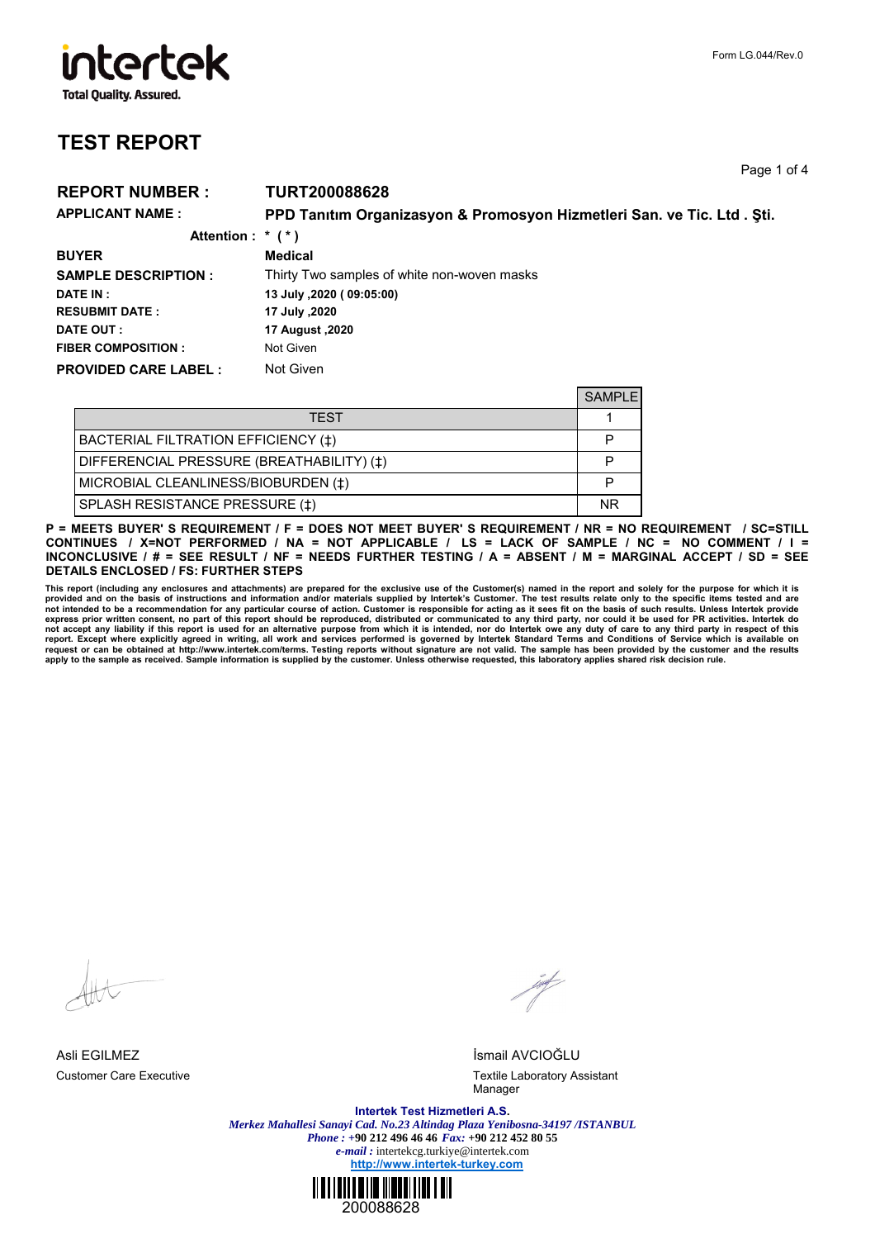## intertek **Total Quality. Assured.**

**TEST REPORT**

Form LG.044/Rev.0

Page 1 of 4

| <b>REPORT NUMBER:</b>        | <b>TURT200088628</b>                                                   |
|------------------------------|------------------------------------------------------------------------|
| <b>APPLICANT NAME:</b>       | PPD Tanıtım Organizasyon & Promosyon Hizmetleri San. ve Tic. Ltd. Şti. |
| Attention : $*$ ( $*$ )      |                                                                        |
| <b>BUYER</b>                 | <b>Medical</b>                                                         |
| <b>SAMPLE DESCRIPTION:</b>   | Thirty Two samples of white non-woven masks                            |
| DATE IN :                    | 13 July ,2020 (09:05:00)                                               |
| <b>RESUBMIT DATE:</b>        | 17 July ,2020                                                          |
| DATE OUT :                   | 17 August, 2020                                                        |
| <b>FIBER COMPOSITION:</b>    | Not Given                                                              |
| <b>PROVIDED CARE LABEL :</b> | Not Given                                                              |

|                                           | <b>SAMPLE</b> |
|-------------------------------------------|---------------|
| <b>TFST</b>                               |               |
| BACTERIAL FILTRATION EFFICIENCY (1)       | P             |
| DIFFERENCIAL PRESSURE (BREATHABILITY) (‡) | P             |
| MICROBIAL CLEANLINESS/BIOBURDEN (‡)       | P             |
| SPLASH RESISTANCE PRESSURE (1)            | <b>NR</b>     |

**P = MEETS BUYER' S REQUIREMENT / F = DOES NOT MEET BUYER' S REQUIREMENT / NR = NO REQUIREMENT / SC=STILL CONTINUES / X=NOT PERFORMED / NA = NOT APPLICABLE / LS = LACK OF SAMPLE / NC = NO COMMENT / I = INCONCLUSIVE / # = SEE RESULT / NF = NEEDS FURTHER TESTING / A = ABSENT / M = MARGINAL ACCEPT / SD = SEE DETAILS ENCLOSED / FS: FURTHER STEPS**

This report (including any enclosures and attachments) are prepared for the exclusive use of the Customer(s) named in the report and solely for the purpose for which it is<br>provided and on the basis of instructions and info

Asli EGILMEZ İsmail AVCIOĞLU

**County** 

Customer Care Executive Textile Laboratory Assistant Manager

> **Intertek Test Hizmetleri A.S.** *Merkez Mahallesi Sanayi Cad. No.23 Altindag Plaza Yenibosna-34197 /ISTANBUL Phone : +***90 212 496 46 46** *Fax:* **+90 212 452 80 55** *e-mail :* intertekcg.turkiye@intertek.com **http://www.intertek-turkey.com**

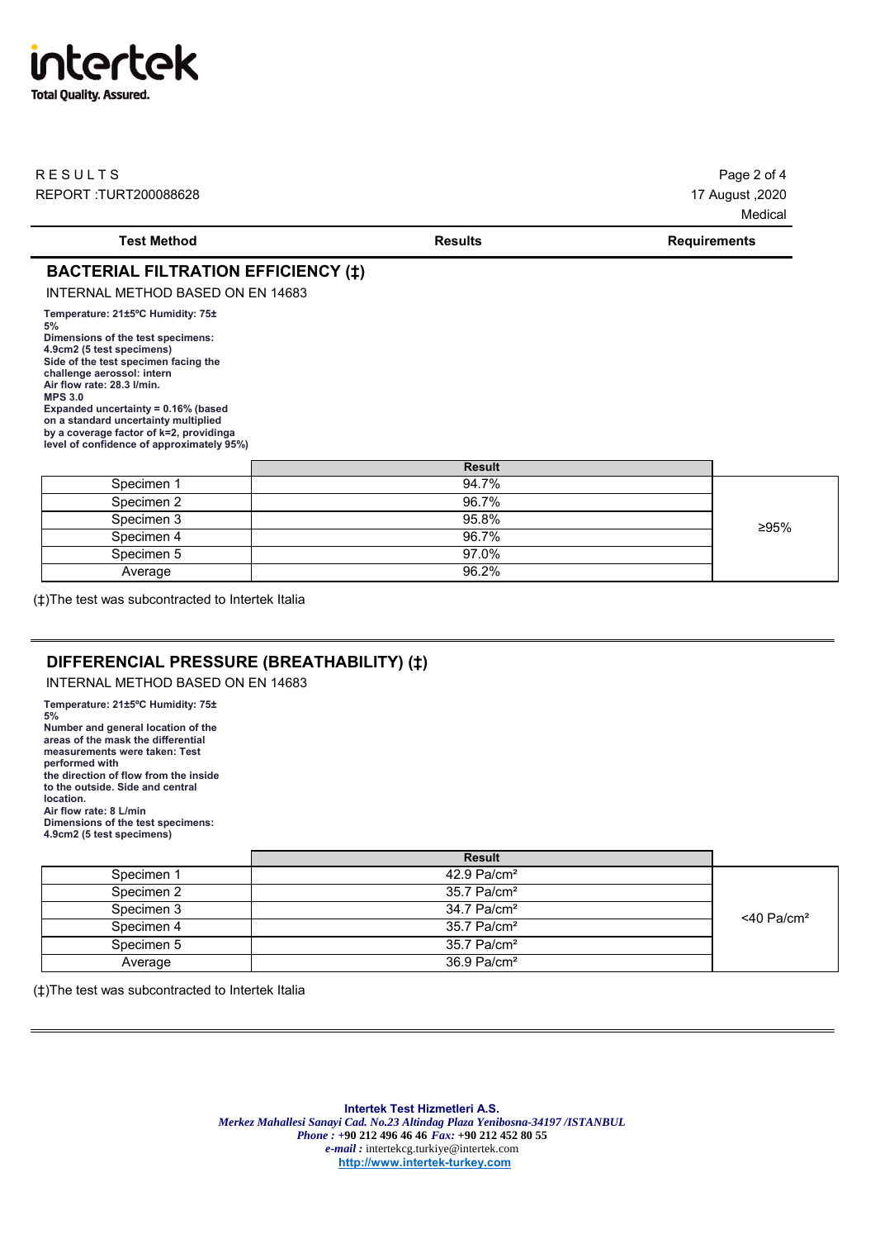## intertek **Total Quality. Assured.**

| RESULTS               | Page 2 of 4     |
|-----------------------|-----------------|
| REPORT :TURT200088628 | 2020, 17 August |

17 August ,2020 Medical

| Test Method                                                                                                                                                                                                                                                               | <b>Results</b> | <b>Requirements</b> |
|---------------------------------------------------------------------------------------------------------------------------------------------------------------------------------------------------------------------------------------------------------------------------|----------------|---------------------|
| <b>BACTERIAL FILTRATION EFFICIENCY (1)</b>                                                                                                                                                                                                                                |                |                     |
| INTERNAL METHOD BASED ON EN 14683                                                                                                                                                                                                                                         |                |                     |
| Temperature: 21±5°C Humidity: 75±<br>5%<br>Dimensions of the test specimens:<br>4.9cm2 (5 test specimens)<br>Side of the test specimen facing the<br>challenge aerossol: intern<br>Air flow rate: 28.3 l/min.<br><b>MPS 3.0</b><br>Expanded uncertainty = $0.16\%$ (based |                |                     |
| on a standard uncertainty multiplied<br>by a coverage factor of k=2, providinga<br>level of confidence of approximately 95%)                                                                                                                                              |                |                     |

|            | <b>Result</b> |      |
|------------|---------------|------|
| Specimen 1 | 94.7%         |      |
| Specimen 2 | 96.7%         |      |
| Specimen 3 | 95.8%         | ≥95% |
| Specimen 4 | 96.7%         |      |
| Specimen 5 | 97.0%         |      |
| Average    | 96.2%         |      |

(‡)The test was subcontracted to Intertek Italia

## **DIFFERENCIAL PRESSURE (BREATHABILITY) (‡)**

INTERNAL METHOD BASED ON EN 14683

**Temperature: 21±5ºC Humidity: 75± 5% Number and general location of the areas of the mask the differential measurements were taken: Test performed with the direction of flow from the inside to the outside. Side and central location. Air flow rate: 8 L/min Dimensions of the test specimens: 4.9cm2 (5 test specimens)**

|            | <b>Result</b>             |                           |
|------------|---------------------------|---------------------------|
| Specimen 1 | $42.9$ Pa/cm <sup>2</sup> |                           |
| Specimen 2 | $35.7$ Pa/cm <sup>2</sup> |                           |
| Specimen 3 | $34.7$ Pa/cm <sup>2</sup> | $<$ 40 Pa/cm <sup>2</sup> |
| Specimen 4 | $35.7$ Pa/cm <sup>2</sup> |                           |
| Specimen 5 | $35.7$ Pa/cm <sup>2</sup> |                           |
| Average    | $36.9$ Pa/cm <sup>2</sup> |                           |

(‡)The test was subcontracted to Intertek Italia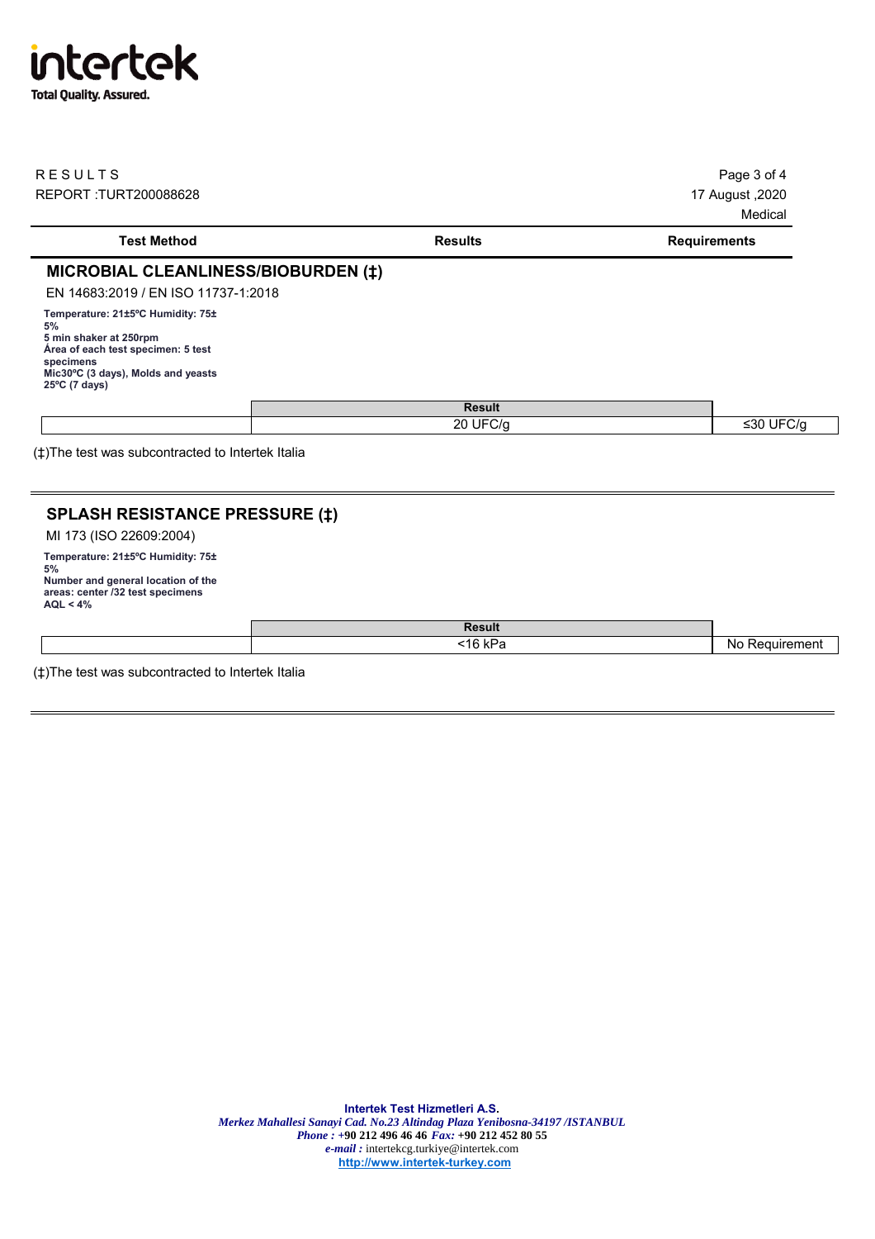## intertek **Total Quality. Assured.**

| <b>RESULTS</b><br><b>REPORT: TURT200088628</b>                                                                                                                                        |                | Page 3 of 4<br>17 August, 2020<br>Medical |
|---------------------------------------------------------------------------------------------------------------------------------------------------------------------------------------|----------------|-------------------------------------------|
| <b>Test Method</b>                                                                                                                                                                    | <b>Results</b> | <b>Requirements</b>                       |
| <b>MICROBIAL CLEANLINESS/BIOBURDEN (‡)</b><br>EN 14683:2019 / EN ISO 11737-1:2018                                                                                                     |                |                                           |
| Temperature: 21±5°C Humidity: 75±<br>5%<br>5 min shaker at 250rpm<br>Área of each test specimen: 5 test<br>specimens<br>Mic30°C (3 days), Molds and yeasts<br>$25^{\circ}$ C (7 days) |                |                                           |
|                                                                                                                                                                                       | <b>Result</b>  |                                           |
|                                                                                                                                                                                       | 20 UFC/g       | ≤30 UFC/g                                 |
| (‡) The test was subcontracted to Intertek Italia<br><b>SPLASH RESISTANCE PRESSURE (#)</b>                                                                                            |                |                                           |
| MI 173 (ISO 22609:2004)                                                                                                                                                               |                |                                           |
| Temperature: 21±5°C Humidity: 75±                                                                                                                                                     |                |                                           |
| 5%<br>Number and general location of the<br>areas: center /32 test specimens<br>AQL < 4%                                                                                              |                |                                           |
|                                                                                                                                                                                       | <b>Result</b>  |                                           |

(‡)The test was subcontracted to Intertek Italia